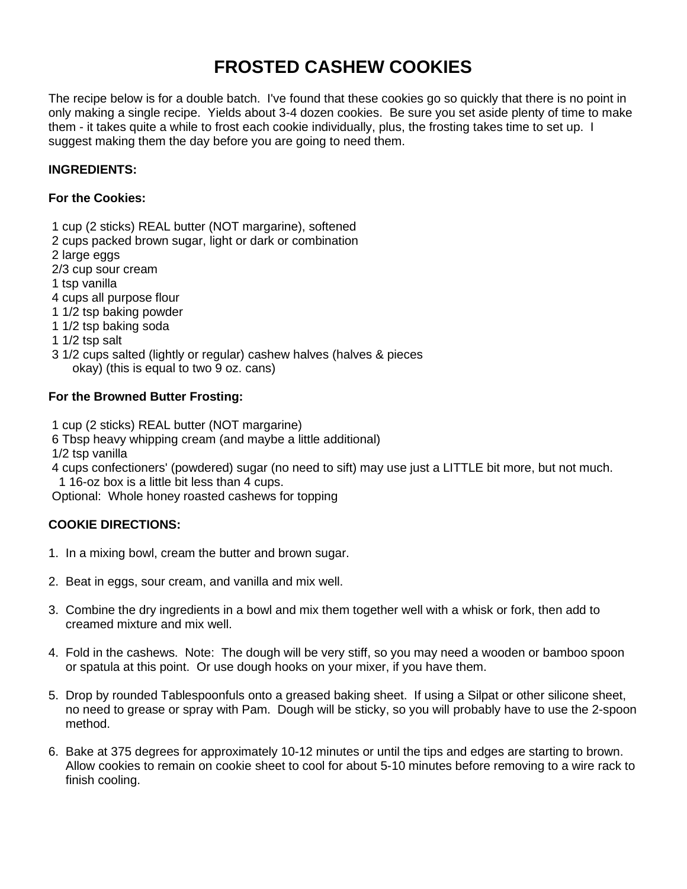# **FROSTED CASHEW COOKIES**

The recipe below is for a double batch. I've found that these cookies go so quickly that there is no point in only making a single recipe. Yields about 3-4 dozen cookies. Be sure you set aside plenty of time to make them - it takes quite a while to frost each cookie individually, plus, the frosting takes time to set up. I suggest making them the day before you are going to need them.

## **INGREDIENTS:**

#### **For the Cookies:**

- 1 cup (2 sticks) REAL butter (NOT margarine), softened
- 2 cups packed brown sugar, light or dark or combination
- 2 large eggs
- 2/3 cup sour cream
- 1 tsp vanilla
- 4 cups all purpose flour
- 1 1/2 tsp baking powder
- 1 1/2 tsp baking soda
- 1 1/2 tsp salt
- 3 1/2 cups salted (lightly or regular) cashew halves (halves & pieces okay) (this is equal to two 9 oz. cans)

### **For the Browned Butter Frosting:**

- 1 cup (2 sticks) REAL butter (NOT margarine)
- 6 Tbsp heavy whipping cream (and maybe a little additional)
- 1/2 tsp vanilla
- 4 cups confectioners' (powdered) sugar (no need to sift) may use just a LITTLE bit more, but not much. 1 16-oz box is a little bit less than 4 cups.

Optional: Whole honey roasted cashews for topping

# **COOKIE DIRECTIONS:**

- 1. In a mixing bowl, cream the butter and brown sugar.
- 2. Beat in eggs, sour cream, and vanilla and mix well.
- 3. Combine the dry ingredients in a bowl and mix them together well with a whisk or fork, then add to creamed mixture and mix well.
- 4. Fold in the cashews. Note: The dough will be very stiff, so you may need a wooden or bamboo spoon or spatula at this point. Or use dough hooks on your mixer, if you have them.
- 5. Drop by rounded Tablespoonfuls onto a greased baking sheet. If using a Silpat or other silicone sheet, no need to grease or spray with Pam. Dough will be sticky, so you will probably have to use the 2-spoon method.
- 6. Bake at 375 degrees for approximately 10-12 minutes or until the tips and edges are starting to brown. Allow cookies to remain on cookie sheet to cool for about 5-10 minutes before removing to a wire rack to finish cooling.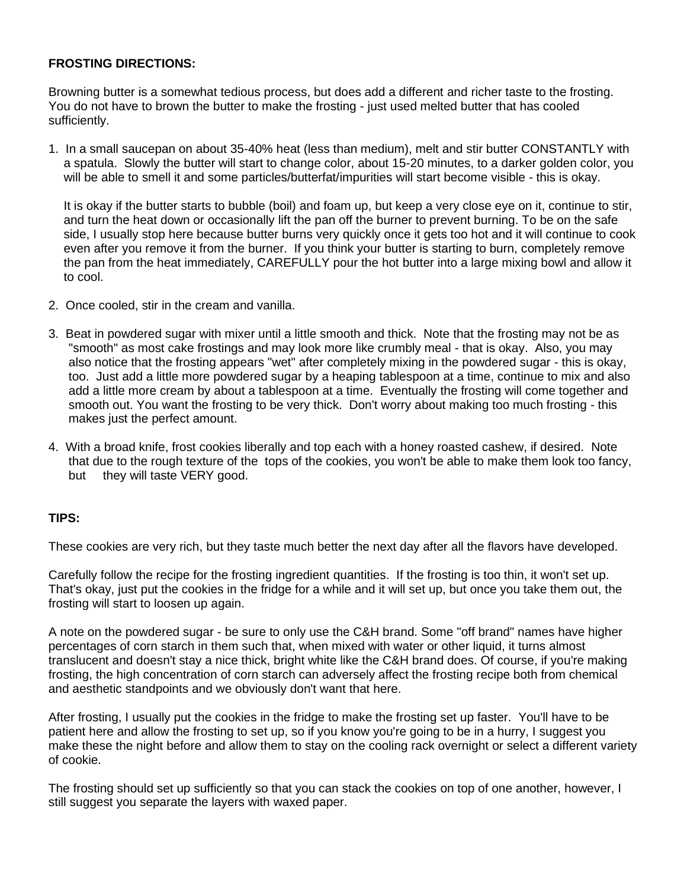#### **FROSTING DIRECTIONS:**

Browning butter is a somewhat tedious process, but does add a different and richer taste to the frosting. You do not have to brown the butter to make the frosting - just used melted butter that has cooled sufficiently.

1. In a small saucepan on about 35-40% heat (less than medium), melt and stir butter CONSTANTLY with a spatula. Slowly the butter will start to change color, about 15-20 minutes, to a darker golden color, you will be able to smell it and some particles/butterfat/impurities will start become visible - this is okay.

It is okay if the butter starts to bubble (boil) and foam up, but keep a very close eye on it, continue to stir, and turn the heat down or occasionally lift the pan off the burner to prevent burning. To be on the safe side, I usually stop here because butter burns very quickly once it gets too hot and it will continue to cook even after you remove it from the burner. If you think your butter is starting to burn, completely remove the pan from the heat immediately, CAREFULLY pour the hot butter into a large mixing bowl and allow it to cool.

- 2. Once cooled, stir in the cream and vanilla.
- 3. Beat in powdered sugar with mixer until a little smooth and thick. Note that the frosting may not be as "smooth" as most cake frostings and may look more like crumbly meal - that is okay. Also, you may also notice that the frosting appears "wet" after completely mixing in the powdered sugar - this is okay, too. Just add a little more powdered sugar by a heaping tablespoon at a time, continue to mix and also add a little more cream by about a tablespoon at a time. Eventually the frosting will come together and smooth out. You want the frosting to be very thick. Don't worry about making too much frosting - this makes just the perfect amount.
- 4. With a broad knife, frost cookies liberally and top each with a honey roasted cashew, if desired. Note that due to the rough texture of the tops of the cookies, you won't be able to make them look too fancy, but they will taste VERY good.

#### **TIPS:**

These cookies are very rich, but they taste much better the next day after all the flavors have developed.

Carefully follow the recipe for the frosting ingredient quantities. If the frosting is too thin, it won't set up. That's okay, just put the cookies in the fridge for a while and it will set up, but once you take them out, the frosting will start to loosen up again.

A note on the powdered sugar - be sure to only use the C&H brand. Some "off brand" names have higher percentages of corn starch in them such that, when mixed with water or other liquid, it turns almost translucent and doesn't stay a nice thick, bright white like the C&H brand does. Of course, if you're making frosting, the high concentration of corn starch can adversely affect the frosting recipe both from chemical and aesthetic standpoints and we obviously don't want that here.

After frosting, I usually put the cookies in the fridge to make the frosting set up faster. You'll have to be patient here and allow the frosting to set up, so if you know you're going to be in a hurry, I suggest you make these the night before and allow them to stay on the cooling rack overnight or select a different variety of cookie.

The frosting should set up sufficiently so that you can stack the cookies on top of one another, however, I still suggest you separate the layers with waxed paper.